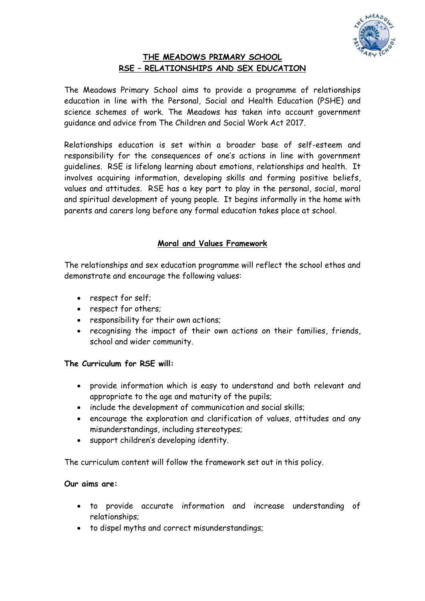

# **THE MEADOWS PRIMARY SCHOOL RSE – RELATIONSHIPS AND SEX EDUCATION**

The Meadows Primary School aims to provide a programme of relationships education in line with the Personal, Social and Health Education (PSHE) and science schemes of work. The Meadows has taken into account government guidance and advice from The Children and Social Work Act 2017.

Relationships education is set within a broader base of self-esteem and responsibility for the consequences of one's actions in line with government guidelines. RSE is lifelong learning about emotions, relationships and health. It involves acquiring information, developing skills and forming positive beliefs, values and attitudes. RSE has a key part to play in the personal, social, moral and spiritual development of young people. It begins informally in the home with parents and carers long before any formal education takes place at school.

# **Moral and Values Framework**

The relationships and sex education programme will reflect the school ethos and demonstrate and encourage the following values:

- respect for self;
- respect for others:
- responsibility for their own actions;
- recognising the impact of their own actions on their families, friends, school and wider community.

# **The Curriculum for RSE will:**

- provide information which is easy to understand and both relevant and appropriate to the age and maturity of the pupils;
- include the development of communication and social skills;
- encourage the exploration and clarification of values, attitudes and any misunderstandings, including stereotypes;
- support children's developing identity.

The curriculum content will follow the framework set out in this policy.

# **Our aims are:**

- to provide accurate information and increase understanding of relationships;
- to dispel myths and correct misunderstandings;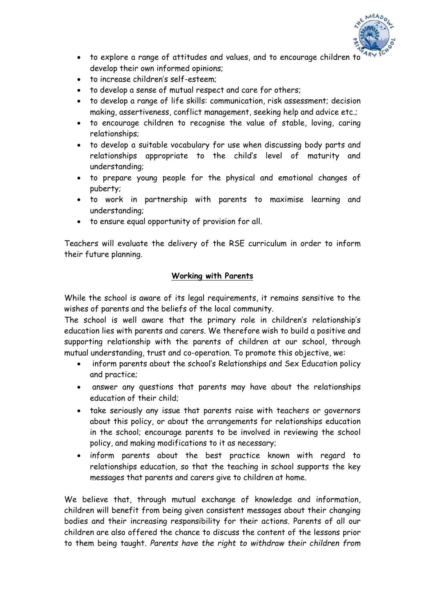

- to explore a range of attitudes and values, and to encourage children to develop their own informed opinions;
- to increase children's self-esteem;
- to develop a sense of mutual respect and care for others;
- to develop a range of life skills: communication, risk assessment; decision making, assertiveness, conflict management, seeking help and advice etc.;
- to encourage children to recognise the value of stable, loving, caring relationships;
- to develop a suitable vocabulary for use when discussing body parts and relationships appropriate to the child's level of maturity and understanding;
- to prepare young people for the physical and emotional changes of puberty;
- to work in partnership with parents to maximise learning and understanding;
- to ensure equal opportunity of provision for all.

Teachers will evaluate the delivery of the RSE curriculum in order to inform their future planning.

#### **Working with Parents**

While the school is aware of its legal requirements, it remains sensitive to the wishes of parents and the beliefs of the local community.

The school is well aware that the primary role in children's relationship's education lies with parents and carers. We therefore wish to build a positive and supporting relationship with the parents of children at our school, through mutual understanding, trust and co-operation. To promote this objective, we:

- inform parents about the school's Relationships and Sex Education policy and practice;
- answer any questions that parents may have about the relationships education of their child;
- take seriously any issue that parents raise with teachers or governors about this policy, or about the arrangements for relationships education in the school; encourage parents to be involved in reviewing the school policy, and making modifications to it as necessary;
- inform parents about the best practice known with regard to relationships education, so that the teaching in school supports the key messages that parents and carers give to children at home.

We believe that, through mutual exchange of knowledge and information, children will benefit from being given consistent messages about their changing bodies and their increasing responsibility for their actions. Parents of all our children are also offered the chance to discuss the content of the lessons prior to them being taught. *Parents have the right to withdraw their children from*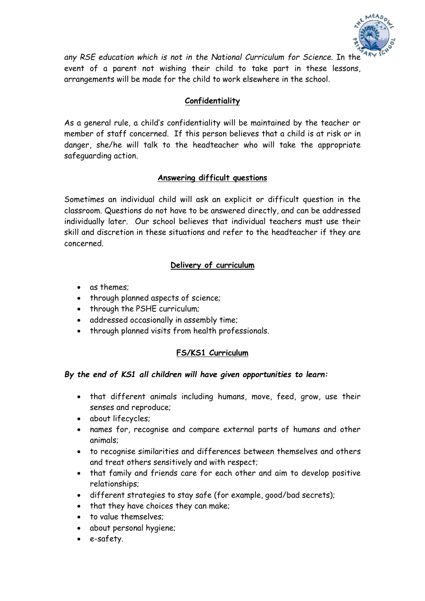

*any RSE education which is not in the National Curriculum for Science.* In the event of a parent not wishing their child to take part in these lessons, arrangements will be made for the child to work elsewhere in the school.

### **Confidentiality**

As a general rule, a child's confidentiality will be maintained by the teacher or member of staff concerned. If this person believes that a child is at risk or in danger, she/he will talk to the headteacher who will take the appropriate safeguarding action.

### **Answering difficult questions**

Sometimes an individual child will ask an explicit or difficult question in the classroom. Questions do not have to be answered directly, and can be addressed individually later. Our school believes that individual teachers must use their skill and discretion in these situations and refer to the headteacher if they are concerned.

### **Delivery of curriculum**

- as themes;
- through planned aspects of science;
- through the PSHE curriculum:
- addressed occasionally in assembly time;
- through planned visits from health professionals.

# **FS/KS1 Curriculum**

#### *By the end of KS1 all children will have given opportunities to learn:*

- that different animals including humans, move, feed, grow, use their senses and reproduce;
- about lifecycles;
- names for, recognise and compare external parts of humans and other animals;
- to recognise similarities and differences between themselves and others and treat others sensitively and with respect;
- that family and friends care for each other and aim to develop positive relationships;
- different strategies to stay safe (for example, good/bad secrets);
- that they have choices they can make;
- to value themselves;
- about personal hygiene;
- e-safety.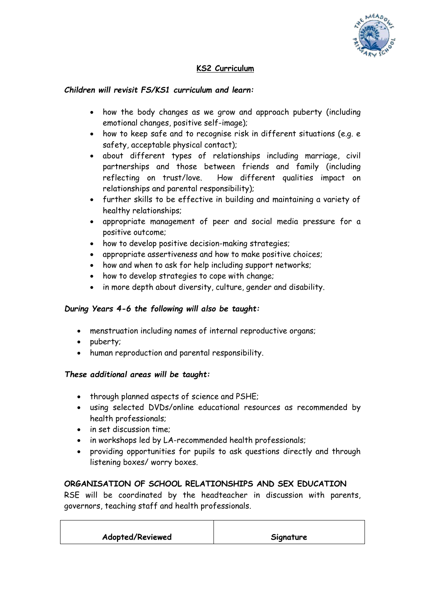

# **KS2 Curriculum**

### *Children will revisit FS/KS1 curriculum and learn:*

- how the body changes as we grow and approach puberty (including emotional changes, positive self-image);
- how to keep safe and to recognise risk in different situations (e.g. e safety, acceptable physical contact);
- about different types of relationships including marriage, civil partnerships and those between friends and family (including reflecting on trust/love. How different qualities impact on relationships and parental responsibility);
- further skills to be effective in building and maintaining a variety of healthy relationships;
- appropriate management of peer and social media pressure for a positive outcome;
- how to develop positive decision-making strategies;
- appropriate assertiveness and how to make positive choices;
- how and when to ask for help including support networks;
- how to develop strategies to cope with change;
- in more depth about diversity, culture, gender and disability.

#### *During Years 4-6 the following will also be taught:*

- menstruation including names of internal reproductive organs;
- puberty;
- human reproduction and parental responsibility.

#### *These additional areas will be taught:*

- through planned aspects of science and PSHE;
- using selected DVDs/online educational resources as recommended by health professionals;
- in set discussion time:
- in workshops led by LA-recommended health professionals;
- providing opportunities for pupils to ask questions directly and through listening boxes/ worry boxes.

#### **ORGANISATION OF SCHOOL RELATIONSHIPS AND SEX EDUCATION**

RSE will be coordinated by the headteacher in discussion with parents, governors, teaching staff and health professionals.

| Adopted/Reviewed<br>Signature |  |
|-------------------------------|--|
|-------------------------------|--|